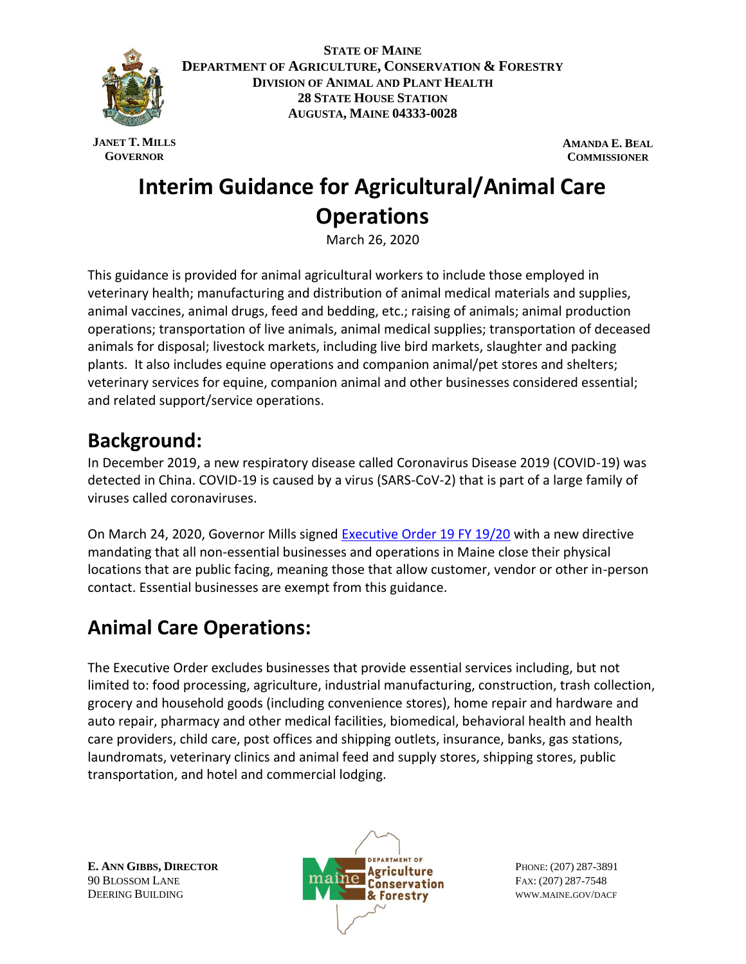

**STATE OF MAINE DEPARTMENT OF AGRICULTURE, CONSERVATION & FORESTRY DIVISION OF ANIMAL AND PLANT HEALTH 28 STATE HOUSE STATION AUGUSTA, MAINE 04333-0028**

**JANET T. MILLS GOVERNOR**

**AMANDA E. BEAL COMMISSIONER**

# **Interim Guidance for Agricultural/Animal Care Operations**

March 26, 2020

This guidance is provided for animal agricultural workers to include those employed in veterinary health; manufacturing and distribution of animal medical materials and supplies, animal vaccines, animal drugs, feed and bedding, etc.; raising of animals; animal production operations; transportation of live animals, animal medical supplies; transportation of deceased animals for disposal; livestock markets, including live bird markets, slaughter and packing plants. It also includes equine operations and companion animal/pet stores and shelters; veterinary services for equine, companion animal and other businesses considered essential; and related support/service operations.

## **Background:**

In December 2019, a new respiratory disease called Coronavirus Disease 2019 (COVID-19) was detected in China. COVID-19 is caused by a virus (SARS-CoV-2) that is part of a large family of viruses called coronaviruses.

On March 24, 2020, Governor Mills signed [Executive Order 19 FY 19/20](https://www.maine.gov/governor/mills/sites/maine.gov.governor.mills/files/inline-files/An%20Order%20Regarding%20Essential%20Businesses%20and%20Operations%20.pdf) with a new directive mandating that all non-essential businesses and operations in Maine close their physical locations that are public facing, meaning those that allow customer, vendor or other in-person contact. Essential businesses are exempt from this guidance.

# **Animal Care Operations:**

The Executive Order excludes businesses that provide essential services including, but not limited to: food processing, agriculture, industrial manufacturing, construction, trash collection, grocery and household goods (including convenience stores), home repair and hardware and auto repair, pharmacy and other medical facilities, biomedical, behavioral health and health care providers, child care, post offices and shipping outlets, insurance, banks, gas stations, laundromats, veterinary clinics and animal feed and supply stores, shipping stores, public transportation, and hotel and commercial lodging.

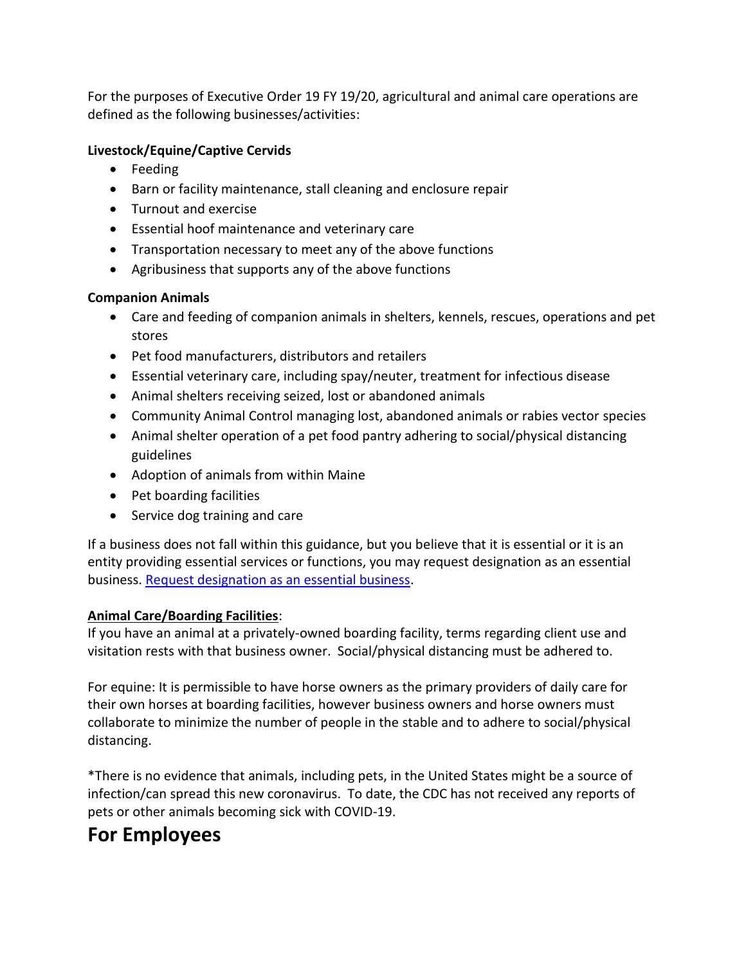For the purposes of Executive Order 19 FY 19/20, agricultural and animal care operations are defined as the following businesses/activities:

#### **Livestock/Equine/Captive Cervids**

- Feeding
- Barn or facility maintenance, stall cleaning and enclosure repair
- Turnout and exercise
- Essential hoof maintenance and veterinary care
- Transportation necessary to meet any of the above functions
- Agribusiness that supports any of the above functions

#### **Companion Animals**

- Care and feeding of companion animals in shelters, kennels, rescues, operations and pet stores
- Pet food manufacturers, distributors and retailers
- Essential veterinary care, including spay/neuter, treatment for infectious disease
- Animal shelters receiving seized, lost or abandoned animals
- Community Animal Control managing lost, abandoned animals or rabies vector species
- Animal shelter operation of a pet food pantry adhering to social/physical distancing guidelines
- Adoption of animals from within Maine
- Pet boarding facilities
- Service dog training and care

If a business does not fall within this guidance, but you believe that it is essential or it is an entity providing essential services or functions, you may request designation as an essential business. [Request designation as an essential business.](https://www.maine.gov/essentialservice)

#### **Animal Care/Boarding Facilities**:

If you have an animal at a privately-owned boarding facility, terms regarding client use and visitation rests with that business owner. Social/physical distancing must be adhered to.

For equine: It is permissible to have horse owners as the primary providers of daily care for their own horses at boarding facilities, however business owners and horse owners must collaborate to minimize the number of people in the stable and to adhere to social/physical distancing.

\*There is no evidence that animals, including pets, in the United States might be a source of infection/can spread this new coronavirus. To date, the CDC has not received any reports of pets or other animals becoming sick with COVID-19.

## **For Employees**